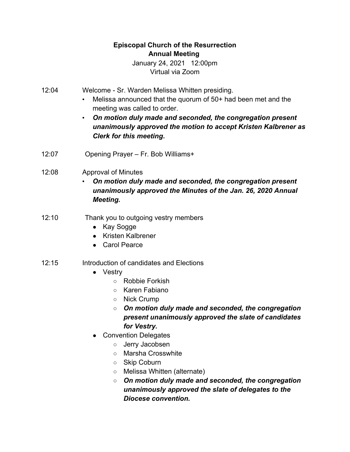## **Episcopal Church of the Resurrection Annual Meeting**

January 24, 2021 12:00pm Virtual via Zoom

- 12:04 Welcome Sr. Warden Melissa Whitten presiding.
	- Melissa announced that the quorum of 50+ had been met and the meeting was called to order.
	- *On motion duly made and seconded, the congregation present unanimously approved the motion to accept Kristen Kalbrener as Clerk for this meeting.*
- 12:07 Opening Prayer Fr. Bob Williams+
- 12:08 Approval of Minutes
	- *On motion duly made and seconded, the congregation present unanimously approved the Minutes of the Jan. 26, 2020 Annual Meeting.*
- 12:10 Thank you to outgoing vestry members
	- Kay Sogge
	- Kristen Kalbrener
	- Carol Pearce

## 12:15 Introduction of candidates and Elections

- Vestry
	- Robbie Forkish
	- Karen Fabiano
	- Nick Crump
	- *On motion duly made and seconded, the congregation present unanimously approved the slate of candidates for Vestry.*
- Convention Delegates
	- o Jerry Jacobsen
	- Marsha Crosswhite
	- Skip Coburn
	- Melissa Whitten (alternate)
	- *On motion duly made and seconded, the congregation unanimously approved the slate of delegates to the Diocese convention.*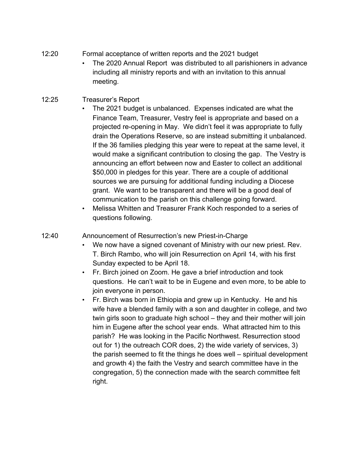- 12:20 Formal acceptance of written reports and the 2021 budget
	- The 2020 Annual Report was distributed to all parishioners in advance including all ministry reports and with an invitation to this annual meeting.
- 12:25 Treasurer's Report
	- The 2021 budget is unbalanced. Expenses indicated are what the Finance Team, Treasurer, Vestry feel is appropriate and based on a projected re-opening in May. We didn't feel it was appropriate to fully drain the Operations Reserve, so are instead submitting it unbalanced. If the 36 families pledging this year were to repeat at the same level, it would make a significant contribution to closing the gap. The Vestry is announcing an effort between now and Easter to collect an additional \$50,000 in pledges for this year. There are a couple of additional sources we are pursuing for additional funding including a Diocese grant. We want to be transparent and there will be a good deal of communication to the parish on this challenge going forward.
	- Melissa Whitten and Treasurer Frank Koch responded to a series of questions following.
- 12:40 Announcement of Resurrection's new Priest-in-Charge
	- We now have a signed covenant of Ministry with our new priest. Rev. T. Birch Rambo, who will join Resurrection on April 14, with his first Sunday expected to be April 18.
	- Fr. Birch joined on Zoom. He gave a brief introduction and took questions. He can't wait to be in Eugene and even more, to be able to join everyone in person.
	- Fr. Birch was born in Ethiopia and grew up in Kentucky. He and his wife have a blended family with a son and daughter in college, and two twin girls soon to graduate high school – they and their mother will join him in Eugene after the school year ends. What attracted him to this parish? He was looking in the Pacific Northwest. Resurrection stood out for 1) the outreach COR does, 2) the wide variety of services, 3) the parish seemed to fit the things he does well – spiritual development and growth 4) the faith the Vestry and search committee have in the congregation, 5) the connection made with the search committee felt right.